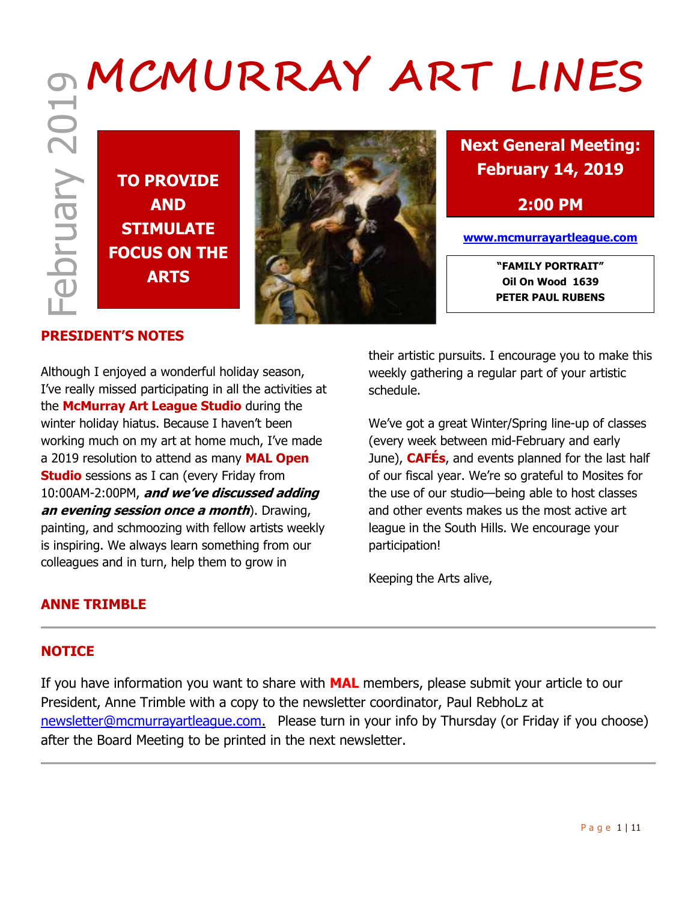# **MCMURRAY ART LINES**

February 2019





**Next General Meeting: February 14, 2019**

**2:00 PM**

**www.mcmurrayartleague.com**

**Oil On Wood 1639 PETER PAUL RUBENS**

## **PRESIDENT'S NOTES**

Although I enjoyed a wonderful holiday season, I've really missed participating in all the activities at the **McMurray Art League Studio** during the winter holiday hiatus. Because I haven't been working much on my art at home much, I've made a 2019 resolution to attend as many **MAL Open Studio** sessions as I can (every Friday from 10:00AM-2:00PM, **and we've discussed adding an evening session once a month**). Drawing, painting, and schmoozing with fellow artists weekly is inspiring. We always learn something from our colleagues and in turn, help them to grow in

their artistic pursuits. I encourage you to make this weekly gathering a regular part of your artistic schedule.

We've got a great Winter/Spring line-up of classes (every week between mid-February and early June), **CAFÉs**, and events planned for the last half of our fiscal year. We're so grateful to Mosites for the use of our studio—being able to host classes and other events makes us the most active art league in the South Hills. We encourage your participation!

Keeping the Arts alive,

## **ANNE TRIMBLE**

#### **NOTICE**

If you have information you want to share with **MAL** members, please submit your article to our President, Anne Trimble with a copy to the newsletter coordinator, Paul RebhoLz at [newsletter@mcmurrayartleague.com.](mailto:newsletter@mcmurrayartleague.com) Please turn in your info by Thursday (or Friday if you choose) after the Board Meeting to be printed in the next newsletter.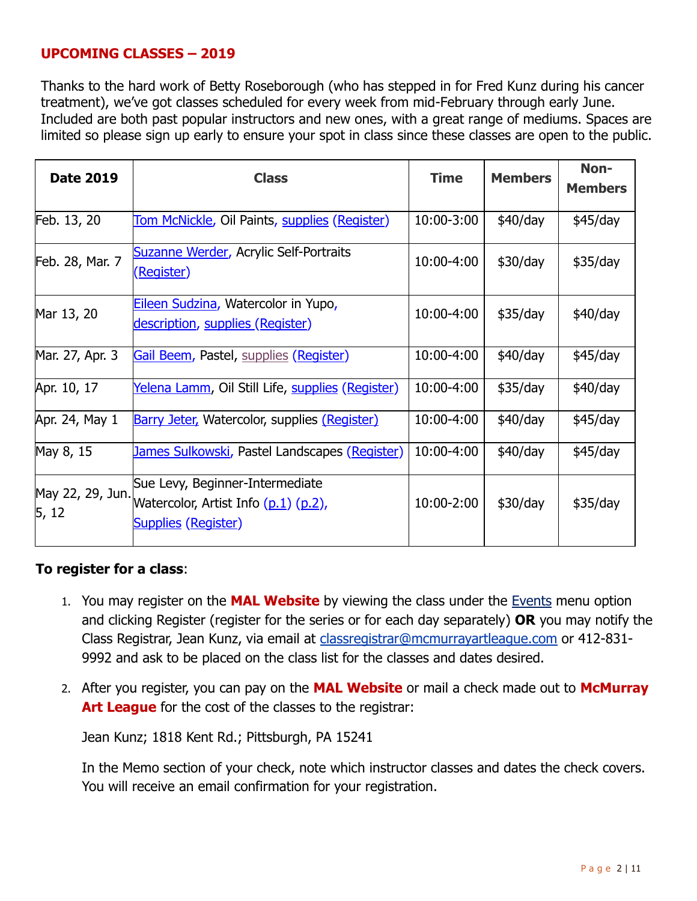## **UPCOMING CLASSES – 2019**

Thanks to the hard work of Betty Roseborough (who has stepped in for Fred Kunz during his cancer treatment), we've got classes scheduled for every week from mid-February through early June. Included are both past popular instructors and new ones, with a great range of mediums. Spaces are limited so please sign up early to ensure your spot in class since these classes are open to the public.

| <b>Date 2019</b>          | <b>Class</b>                                                                                          | <b>Time</b> | <b>Members</b> | Non-           |
|---------------------------|-------------------------------------------------------------------------------------------------------|-------------|----------------|----------------|
|                           |                                                                                                       |             |                | <b>Members</b> |
| Feb. 13, 20               | <u>Tom McNickle</u> , Oil Paints, supplies (Register)                                                 | 10:00-3:00  | \$40/day       | \$45/day       |
| Feb. 28, Mar. 7           | Suzanne Werder, Acrylic Self-Portraits<br><u>(Register)</u>                                           | 10:00-4:00  | \$30/day       | \$35/day       |
| Mar 13, 20                | Eileen Sudzina, Watercolor in Yupo,<br>description, supplies (Register)                               | 10:00-4:00  | \$35/day       | \$40/day       |
| Mar. 27, Apr. 3           | Gail Beem, Pastel, supplies (Register)                                                                | 10:00-4:00  | \$40/day       | \$45/day       |
| Apr. 10, 17               | <u>Yelena Lamm</u> , Oil Still Life, supplies (Register)                                              | 10:00-4:00  | \$35/day       | \$40/day       |
| Apr. 24, May 1            | <b>Barry Jeter, Watercolor, supplies (Register)</b>                                                   | 10:00-4:00  | \$40/day       | \$45/day       |
| May 8, 15                 | <u>James Sulkowski</u> , Pastel Landscapes (Register)                                                 | 10:00-4:00  | \$40/day       | \$45/day       |
| May 22, 29, Jun.<br>5, 12 | Sue Levy, Beginner-Intermediate<br>Watercolor, Artist Info (p.1) (p.2),<br><b>Supplies (Register)</b> | 10:00-2:00  | \$30/day       | \$35/day       |

#### **To register for a class**:

- 1. You may register on the **MAL Website** by viewing the class under the [Events](https://www.mcmurrayartleague.com/page-1498580) menu option and clicking Register (register for the series or for each day separately) **OR** you may notify the Class Registrar, Jean Kunz, via email at [classregistrar@mcmurrayartleague.com](mailto:classregistrar@mcmurrayartleague.com) or 412-831- 9992 and ask to be placed on the class list for the classes and dates desired.
- 2. After you register, you can pay on the **MAL Website** or mail a check made out to **McMurray Art League** for the cost of the classes to the registrar:

Jean Kunz; 1818 Kent Rd.; Pittsburgh, PA 15241

In the Memo section of your check, note which instructor classes and dates the check covers. You will receive an email confirmation for your registration.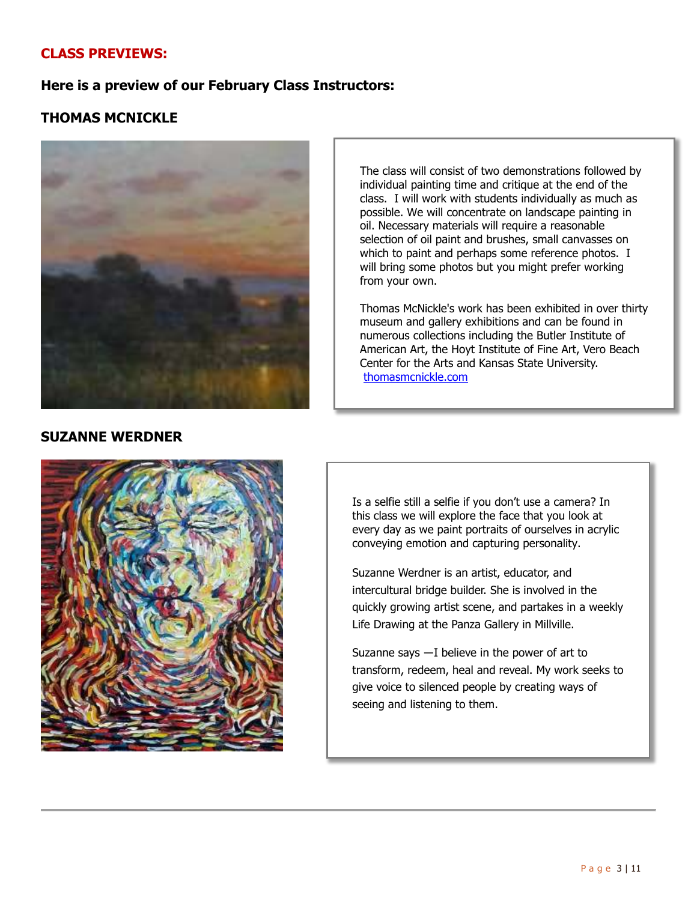## **CLASS PREVIEWS:**

## **Here is a preview of our February Class Instructors:**

## **THOMAS MCNICKLE**



The class will consist of two demonstrations followed by individual painting time and critique at the end of the class. I will work with students individually as much as possible. We will concentrate on landscape painting in oil. Necessary materials will require a reasonable selection of oil paint and brushes, small canvasses on which to paint and perhaps some reference photos. I will bring some photos but you might prefer working from your own.

Thomas McNickle's work has been exhibited in over thirty museum and gallery exhibitions and can be found in numerous collections including the Butler Institute of American Art, the Hoyt Institute of Fine Art, Vero Beach Center for the Arts and Kansas State University. thomasmcnickle.com

#### **SUZANNE WERDNER**



Is a selfie still a selfie if you don't use a camera? In this class we will explore the face that you look at every day as we paint portraits of ourselves in acrylic conveying emotion and capturing personality.

Suzanne Werdner is an artist, educator, and intercultural bridge builder. She is involved in the quickly growing artist scene, and partakes in a weekly Life Drawing at the Panza Gallery in Millville.

Suzanne says ―I believe in the power of art to transform, redeem, heal and reveal. My work seeks to give voice to silenced people by creating ways of seeing and listening to them.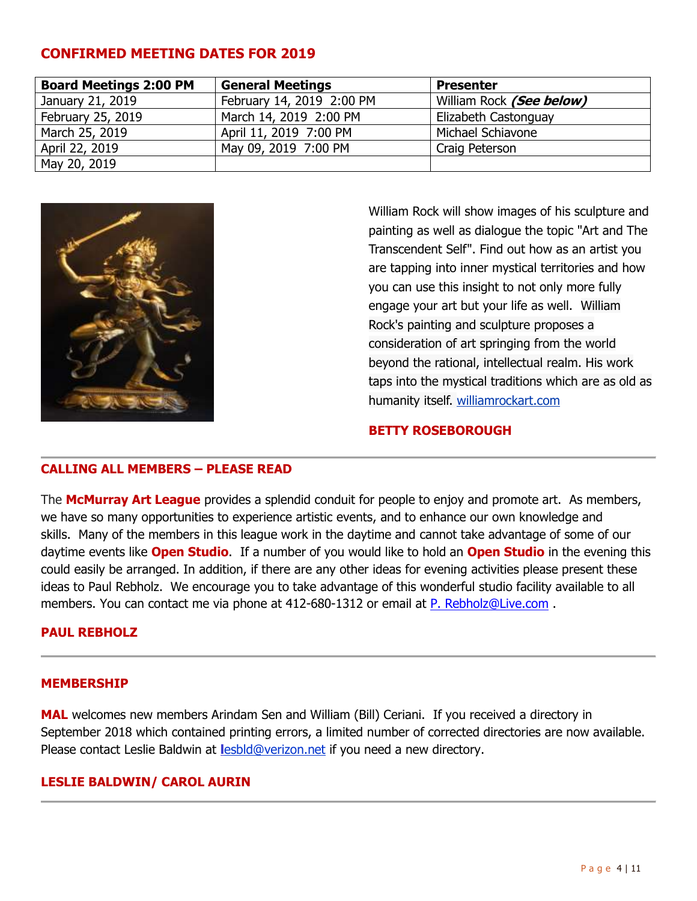#### **CONFIRMED MEETING DATES FOR 2019**

| <b>Board Meetings 2:00 PM</b> | <b>General Meetings</b>   | <b>Presenter</b>         |
|-------------------------------|---------------------------|--------------------------|
| January 21, 2019              | February 14, 2019 2:00 PM | William Rock (See below) |
| February 25, 2019             | March 14, 2019 2:00 PM    | Elizabeth Castonguay     |
| March 25, 2019                | April 11, 2019 7:00 PM    | Michael Schiavone        |
| April 22, 2019                | May 09, 2019 7:00 PM      | Craig Peterson           |
| May 20, 2019                  |                           |                          |



William Rock will show images of his sculpture and painting as well as dialogue the topic "Art and The Transcendent Self". Find out how as an artist you are tapping into inner mystical territories and how you can use this insight to not only more fully engage your art but your life as well. William Rock's painting and sculpture proposes a consideration of art springing from the world beyond the rational, intellectual realm. His work taps into the mystical traditions which are as old as humanity itself. [williamrockart.com](file:///C:/Users/prebh/Desktop/williamrockart.com)

#### **BETTY ROSEBOROUGH**

#### **CALLING ALL MEMBERS – PLEASE READ**

The **McMurray Art League** provides a splendid conduit for people to enjoy and promote art. As members, we have so many opportunities to experience artistic events, and to enhance our own knowledge and skills. Many of the members in this league work in the daytime and cannot take advantage of some of our daytime events like **Open Studio**. If a number of you would like to hold an **Open Studio** in the evening this could easily be arranged. In addition, if there are any other ideas for evening activities please present these ideas to Paul Rebholz. We encourage you to take advantage of this wonderful studio facility available to all members. You can contact me via phone at 412-680-1312 or email at [P. Rebholz@Live.com](mailto:P.Rebholz@Live.com).

#### **PAUL REBHOLZ**

#### **MEMBERSHIP**

**MAL** welcomes new members Arindam Sen and William (Bill) Ceriani. If you received a directory in September 2018 which contained printing errors, a limited number of corrected directories are now available. Please contact Leslie Baldwin at **l**[esbld@verizon.net](mailto:lesbld@verizon.net) if you need a new directory.

#### **LESLIE BALDWIN/ CAROL AURIN**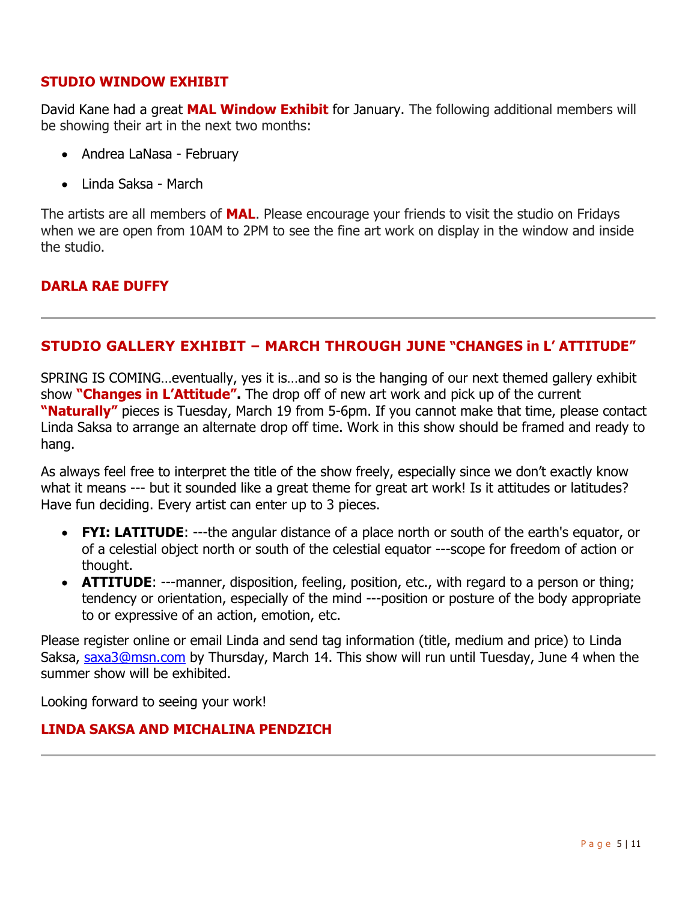## **STUDIO WINDOW EXHIBIT**

David Kane had a great **MAL Window Exhibit** for January. The following additional members will be showing their art in the next two months:

- Andrea LaNasa February
- Linda Saksa March

The artists are all members of **MAL**. Please encourage your friends to visit the studio on Fridays when we are open from 10AM to 2PM to see the fine art work on display in the window and inside the studio.

## **DARLA RAE DUFFY**

## **STUDIO GALLERY EXHIBIT – MARCH THROUGH JUNE "CHANGES in L' ATTITUDE"**

SPRING IS COMING…eventually, yes it is…and so is the hanging of our next themed gallery exhibit show **"Changes in L'Attitude".** The drop off of new art work and pick up of the current **"Naturally"** pieces is Tuesday, March 19 from 5-6pm. If you cannot make that time, please contact Linda Saksa to arrange an alternate drop off time. Work in this show should be framed and ready to hang.

As always feel free to interpret the title of the show freely, especially since we don't exactly know what it means --- but it sounded like a great theme for great art work! Is it attitudes or latitudes? Have fun deciding. Every artist can enter up to 3 pieces.

- **FYI: LATITUDE**: ---the angular distance of a place north or south of the earth's equator, or of a celestial object north or south of the celestial equator ---scope for freedom of action or thought.
- **ATTITUDE**: ---manner, disposition, feeling, position, etc., with regard to a person or thing; tendency or orientation, especially of the mind ---position or posture of the body appropriate to or expressive of an action, emotion, etc.

Please register online or email Linda and send tag information (title, medium and price) to Linda Saksa, [saxa3@msn.com](mailto:saxa3@msn.com) by Thursday, March 14. This show will run until Tuesday, June 4 when the summer show will be exhibited.

Looking forward to seeing your work!

#### **LINDA SAKSA AND MICHALINA PENDZICH**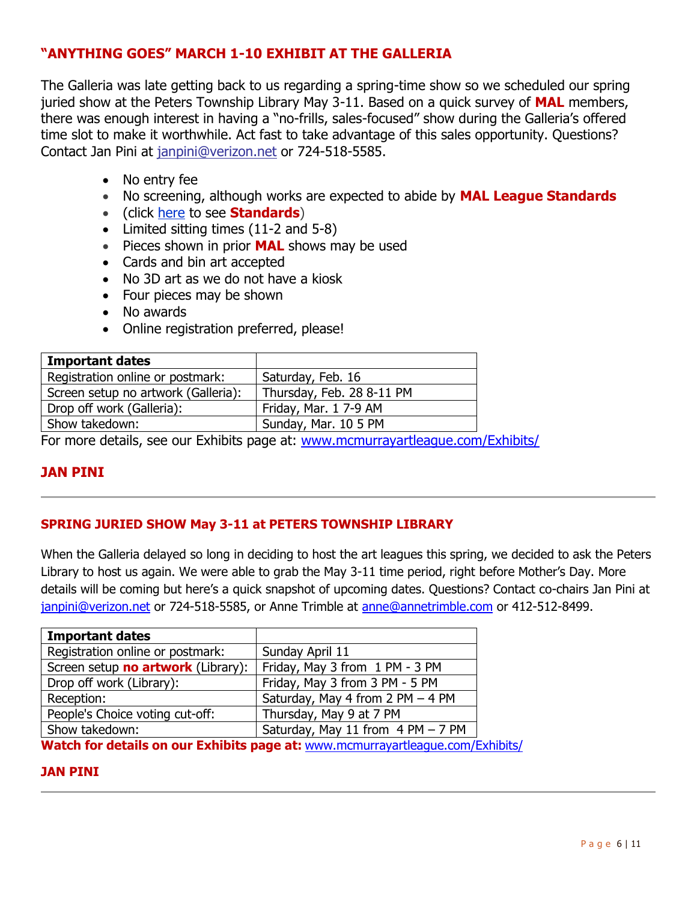## **"ANYTHING GOES" MARCH 1-10 EXHIBIT AT THE GALLERIA**

The Galleria was late getting back to us regarding a spring-time show so we scheduled our spring juried show at the Peters Township Library May 3-11. Based on a quick survey of **MAL** members, there was enough interest in having a "no-frills, sales-focused" show during the Galleria's offered time slot to make it worthwhile. Act fast to take advantage of this sales opportunity. Questions? Contact Jan Pini at [janpini@verizon.net](mailto:janpini@verizon.net) or 724-518-5585.

- No entry fee
- No screening, although works are expected to abide by **MAL League Standards**
- (click [here](https://www.mcmurrayartleague.com/resources/Documents/Misc/MAL_2013_08_Exhibit_Standards.pdf) to see **Standards**)
- Limited sitting times (11-2 and 5-8)
- Pieces shown in prior **MAL** shows may be used
- Cards and bin art accepted
- No 3D art as we do not have a kiosk
- Four pieces may be shown
- No awards
- Online registration preferred, please!

| <b>Important dates</b>              |                           |
|-------------------------------------|---------------------------|
| Registration online or postmark:    | Saturday, Feb. 16         |
| Screen setup no artwork (Galleria): | Thursday, Feb. 28 8-11 PM |
| Drop off work (Galleria):           | Friday, Mar. 1 7-9 AM     |
| Show takedown:                      | Sunday, Mar. 10 5 PM      |

For more details, see our Exhibits page at: [www.mcmurrayartleague.com/Exhibits/](file:///C:/Users/prebh/Desktop/www.mcmurrayartleague.com/Exhibits/)

#### **JAN PINI**

#### **SPRING JURIED SHOW May 3-11 at PETERS TOWNSHIP LIBRARY**

When the Galleria delayed so long in deciding to host the art leagues this spring, we decided to ask the Peters Library to host us again. We were able to grab the May 3-11 time period, right before Mother's Day. More details will be coming but here's a quick snapshot of upcoming dates. Questions? Contact co-chairs Jan Pini at [janpini@verizon.net](mailto:janpini@verizon.net) or 724-518-5585, or Anne Trimble at [anne@annetrimble.com](mailto:anne@annetrimble.com) or 412-512-8499.

| <b>Important dates</b>             |                                   |  |  |
|------------------------------------|-----------------------------------|--|--|
| Registration online or postmark:   | Sunday April 11                   |  |  |
| Screen setup no artwork (Library): | Friday, May 3 from 1 PM - 3 PM    |  |  |
| Drop off work (Library):           | Friday, May 3 from 3 PM - 5 PM    |  |  |
| Reception:                         | Saturday, May 4 from 2 PM - 4 PM  |  |  |
| People's Choice voting cut-off:    | Thursday, May 9 at 7 PM           |  |  |
| Show takedown:                     | Saturday, May 11 from 4 PM - 7 PM |  |  |

**Watch for details on our Exhibits page at:** [www.mcmurrayartleague.com/Exhibits/](file:///C:/Users/prebh/Desktop/www.mcmurrayartleague.com/Exhibits/)

#### **JAN PINI**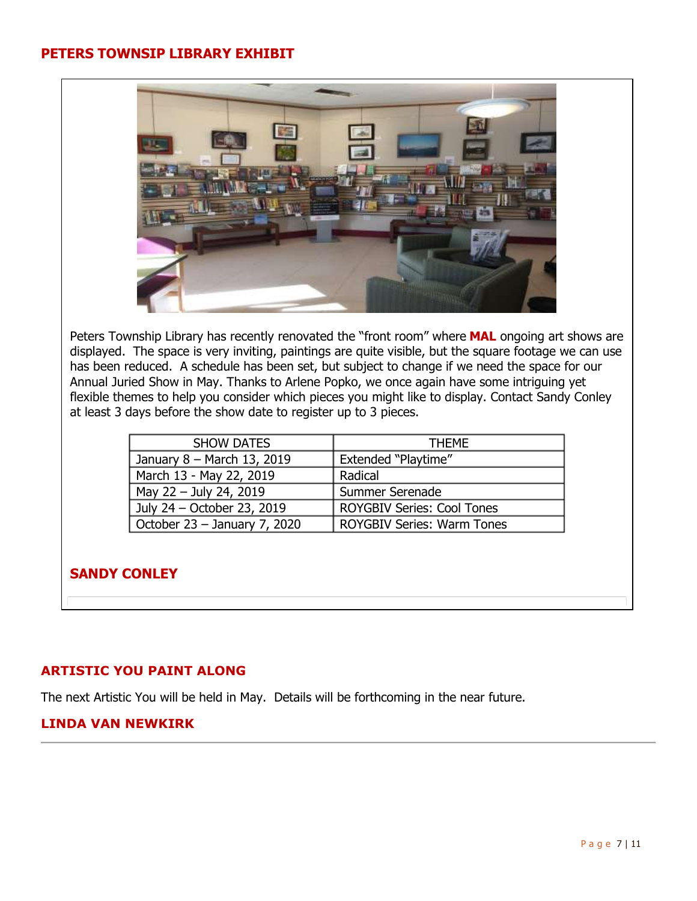#### **PETERS TOWNSIP LIBRARY EXHIBIT**



Peters Township Library has recently renovated the "front room" where **MAL** ongoing art shows are displayed. The space is very inviting, paintings are quite visible, but the square footage we can use has been reduced. A schedule has been set, but subject to change if we need the space for our Annual Juried Show in May. Thanks to Arlene Popko, we once again have some intriguing yet flexible themes to help you consider which pieces you might like to display. Contact Sandy Conley at least 3 days before the show date to register up to 3 pieces.

| <b>SHOW DATES</b>            | <b>THEME</b>               |  |
|------------------------------|----------------------------|--|
| January 8 - March 13, 2019   | <b>Extended "Playtime"</b> |  |
| March 13 - May 22, 2019      | Radical                    |  |
| May 22 - July 24, 2019       | Summer Serenade            |  |
| July 24 – October 23, 2019   | ROYGBIV Series: Cool Tones |  |
| October 23 - January 7, 2020 | ROYGBIV Series: Warm Tones |  |

#### **SANDY CONLEY**

#### **ARTISTIC YOU PAINT ALONG**

The next Artistic You will be held in May. Details will be forthcoming in the near future.

#### **LINDA VAN NEWKIRK**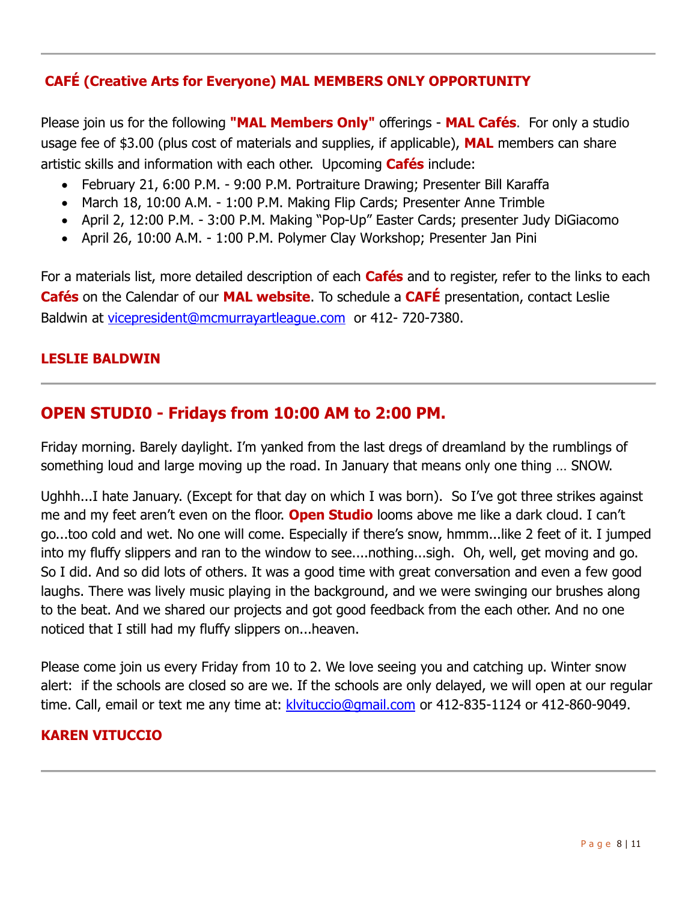# **CAFÉ (Creative Arts for Everyone) MAL MEMBERS ONLY OPPORTUNITY**

Please join us for the following **"MAL Members Only"** offerings - **MAL Cafés**. For only a studio usage fee of \$3.00 (plus cost of materials and supplies, if applicable), **MAL** members can share artistic skills and information with each other. Upcoming **Cafés** include:

- February 21, 6:00 P.M. 9:00 P.M. Portraiture Drawing; Presenter Bill Karaffa
- March 18, 10:00 A.M. 1:00 P.M. Making Flip Cards; Presenter Anne Trimble
- April 2, 12:00 P.M. 3:00 P.M. Making "Pop-Up" Easter Cards; presenter Judy DiGiacomo
- April 26, 10:00 A.M. 1:00 P.M. Polymer Clay Workshop; Presenter Jan Pini

For a materials list, more detailed description of each **Cafés** and to register, refer to the links to each **Cafés** on the Calendar of our **MAL website**. To schedule a **CAFÉ** presentation, contact Leslie Baldwin at [vicepresident@mcmurrayartleague.com](mailto:vicepresident@mcmurrayartleague.com) or 412- 720-7380.

## **LESLIE BALDWIN**

# **OPEN STUDI0 - Fridays from 10:00 AM to 2:00 PM.**

Friday morning. Barely daylight. I'm yanked from the last dregs of dreamland by the rumblings of something loud and large moving up the road. In January that means only one thing … SNOW.

Ughhh...I hate January. (Except for that day on which I was born). So I've got three strikes against me and my feet aren't even on the floor. **Open Studio** looms above me like a dark cloud. I can't go...too cold and wet. No one will come. Especially if there's snow, hmmm...like 2 feet of it. I jumped into my fluffy slippers and ran to the window to see....nothing...sigh. Oh, well, get moving and go. So I did. And so did lots of others. It was a good time with great conversation and even a few good laughs. There was lively music playing in the background, and we were swinging our brushes along to the beat. And we shared our projects and got good feedback from the each other. And no one noticed that I still had my fluffy slippers on...heaven.

Please come join us every Friday from 10 to 2. We love seeing you and catching up. Winter snow alert: if the schools are closed so are we. If the schools are only delayed, we will open at our regular time. Call, email or text me any time at: [klvituccio@gmail.com](mailto:klvituccio@gmail.com) or 412-835-1124 or 412-860-9049.

#### **KAREN VITUCCIO**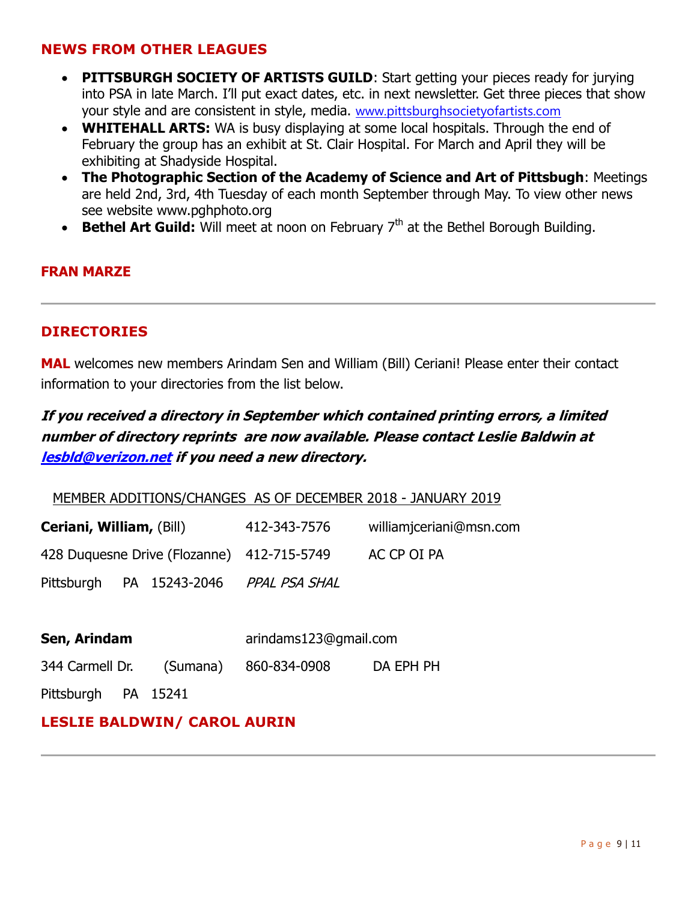## **NEWS FROM OTHER LEAGUES**

- **PITTSBURGH SOCIETY OF ARTISTS GUILD:** Start getting your pieces ready for jurying into PSA in late March. I'll put exact dates, etc. in next newsletter. Get three pieces that show your style and are consistent in style, media. [www.pittsburghsocietyofartists.com](http://www.pittsburghsocietyofartists.com/)
- **WHITEHALL ARTS:** WA is busy displaying at some local hospitals. Through the end of February the group has an exhibit at St. Clair Hospital. For March and April they will be exhibiting at Shadyside Hospital.
- **The Photographic Section of the Academy of Science and Art of Pittsbugh**: Meetings are held 2nd, 3rd, 4th Tuesday of each month September through May. To view other news see website www.pghphoto.org
- Bethel Art Guild: Will meet at noon on February 7<sup>th</sup> at the Bethel Borough Building.

#### **FRAN MARZE**

#### **DIRECTORIES**

**MAL** welcomes new members Arindam Sen and William (Bill) Ceriani! Please enter their contact information to your directories from the list below.

# **If you received a directory in September which contained printing errors, a limited number of directory reprints are now available. Please contact Leslie Baldwin at [lesbld@verizon.net](mailto:lesbld@verizon.net) if you need a new directory.**

MEMBER ADDITIONS/CHANGES AS OF DECEMBER 2018 - JANUARY 2019

| Ceriani, William, (Bill)                   |  |               | 412-343-7576  | williamjceriani@msn.com |
|--------------------------------------------|--|---------------|---------------|-------------------------|
| 428 Duquesne Drive (Flozanne) 412-715-5749 |  |               | AC CP OI PA   |                         |
| Pittsburgh                                 |  | PA 15243-2046 | PPAL PSA SHAL |                         |

| Sen, Arindam        |  |                       | arindams123@qmail.com |  |  |
|---------------------|--|-----------------------|-----------------------|--|--|
| 344 Carmell Dr.     |  | (Sumana) 860-834-0908 | DA EPH PH             |  |  |
| Pittsburgh PA 15241 |  |                       |                       |  |  |

## **LESLIE BALDWIN/ CAROL AURIN**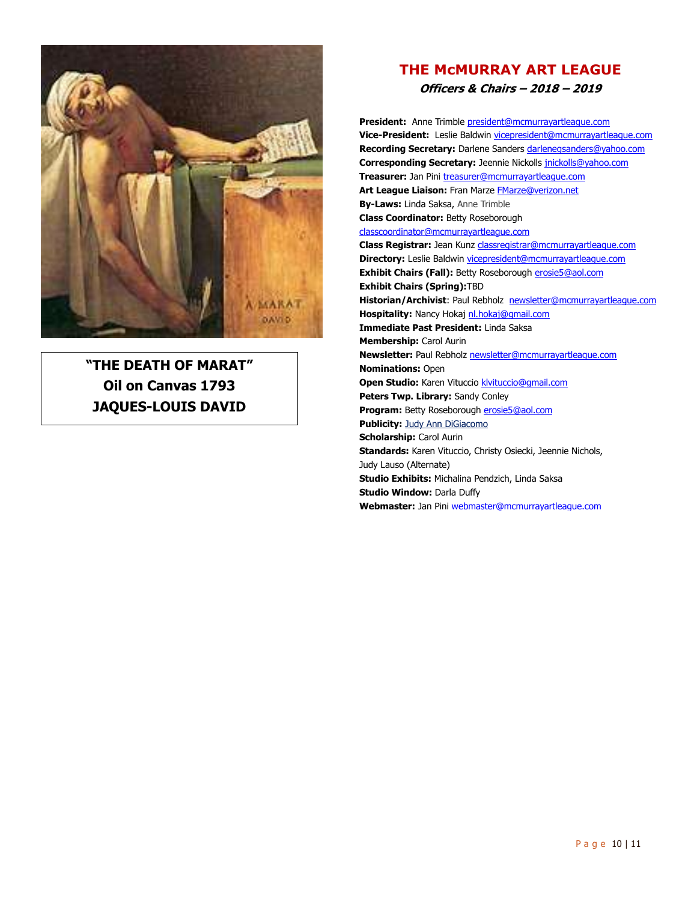

**"THE DEATH OF MARAT" Oil on Canvas 1793 JAQUES-LOUIS DAVID**

## **THE McMURRAY ART LEAGUE Officers & Chairs – 2018 – 2019**

**President:** Anne Trimble president@mcmurrayartleague.com **Vice-President:** Leslie Baldwin vicepresident@mcmurrayartleague.com **Recording Secretary:** Darlene Sanders darlenegsanders@yahoo.com **Corresponding Secretary:** Jeennie Nickolls jnickolls@yahoo.com **Treasurer:** Jan Pini treasurer@mcmurrayartleague.com Art League Liaison: Fran Marze **FMarze@verizon.net By-Laws:** Linda Saksa, Anne Trimble **Class Coordinator:** Betty Roseborough classcoordinator@mcmurrayartleague.com **Class Registrar:** Jean Kunz classregistrar@mcmurrayartleague.com **Directory:** Leslie Baldwin vicepresident@mcmurrayartleague.com **Exhibit Chairs (Fall):** Betty Roseborough **erosie5@aol.com Exhibit Chairs (Spring):**TBD Historian/Archivist: Paul Rebholz newsletter@mcmurrayartleague.com **Hospitality:** Nancy Hokaj nl.hokaj@gmail.com **Immediate Past President:** Linda Saksa **Membership:** Carol Aurin **Newsletter:** Paul Rebholz newsletter@mcmurrayartleague.com **Nominations:** Open **Open Studio:** Karen Vituccio **klvituccio@gmail.com Peters Twp. Library:** Sandy Conley **Program:** Betty Roseborough erosie5@aol.com **Publicity: Judy Ann DiGiacomo Scholarship:** Carol Aurin **Standards:** Karen Vituccio, Christy Osiecki, Jeennie Nichols, Judy Lauso (Alternate) **Studio Exhibits:** Michalina Pendzich, Linda Saksa **Studio Window:** Darla Duffy **Webmaster:** Jan Pini webmaster@mcmurrayartleague.com